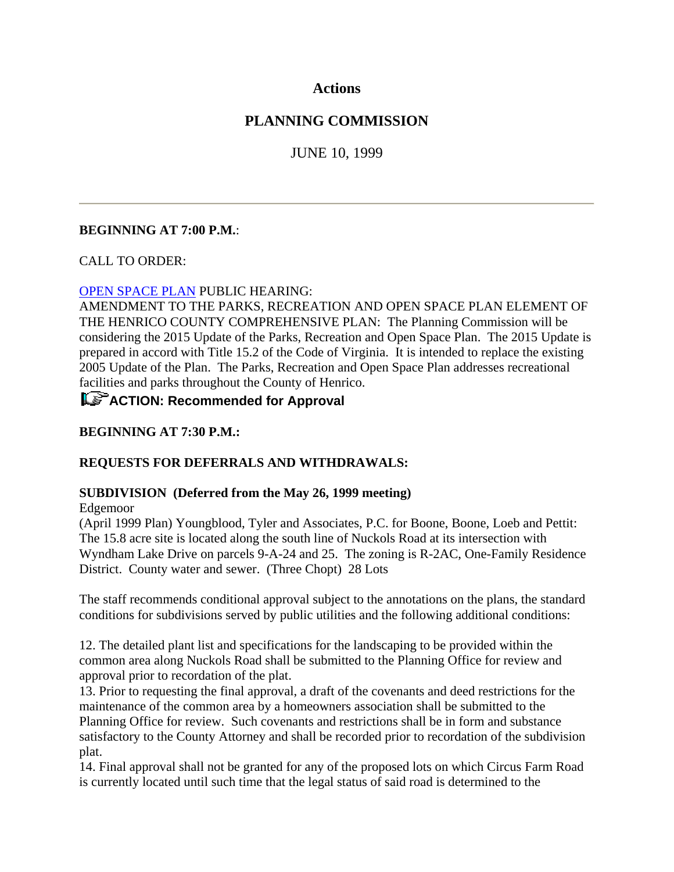### **Actions**

### **PLANNING COMMISSION**

JUNE 10, 1999

### **BEGINNING AT 7:00 P.M.**:

#### CALL TO ORDER:

#### OPEN SPACE PLAN PUBLIC HEARING:

AMENDMENT TO THE PARKS, RECREATION AND OPEN SPACE PLAN ELEMENT OF THE HENRICO COUNTY COMPREHENSIVE PLAN: The Planning Commission will be considering the 2015 Update of the Parks, Recreation and Open Space Plan. The 2015 Update is prepared in accord with Title 15.2 of the Code of Virginia. It is intended to replace the existing 2005 Update of the Plan. The Parks, Recreation and Open Space Plan addresses recreational facilities and parks throughout the County of Henrico.

## **ACTION: Recommended for Approval**

### **BEGINNING AT 7:30 P.M.:**

#### **REQUESTS FOR DEFERRALS AND WITHDRAWALS:**

#### **SUBDIVISION (Deferred from the May 26, 1999 meeting)**

Edgemoor

(April 1999 Plan) Youngblood, Tyler and Associates, P.C. for Boone, Boone, Loeb and Pettit: The 15.8 acre site is located along the south line of Nuckols Road at its intersection with Wyndham Lake Drive on parcels 9-A-24 and 25. The zoning is R-2AC, One-Family Residence District. County water and sewer. (Three Chopt) 28 Lots

The staff recommends conditional approval subject to the annotations on the plans, the standard conditions for subdivisions served by public utilities and the following additional conditions:

12. The detailed plant list and specifications for the landscaping to be provided within the common area along Nuckols Road shall be submitted to the Planning Office for review and approval prior to recordation of the plat.

13. Prior to requesting the final approval, a draft of the covenants and deed restrictions for the maintenance of the common area by a homeowners association shall be submitted to the Planning Office for review. Such covenants and restrictions shall be in form and substance satisfactory to the County Attorney and shall be recorded prior to recordation of the subdivision plat.

14. Final approval shall not be granted for any of the proposed lots on which Circus Farm Road is currently located until such time that the legal status of said road is determined to the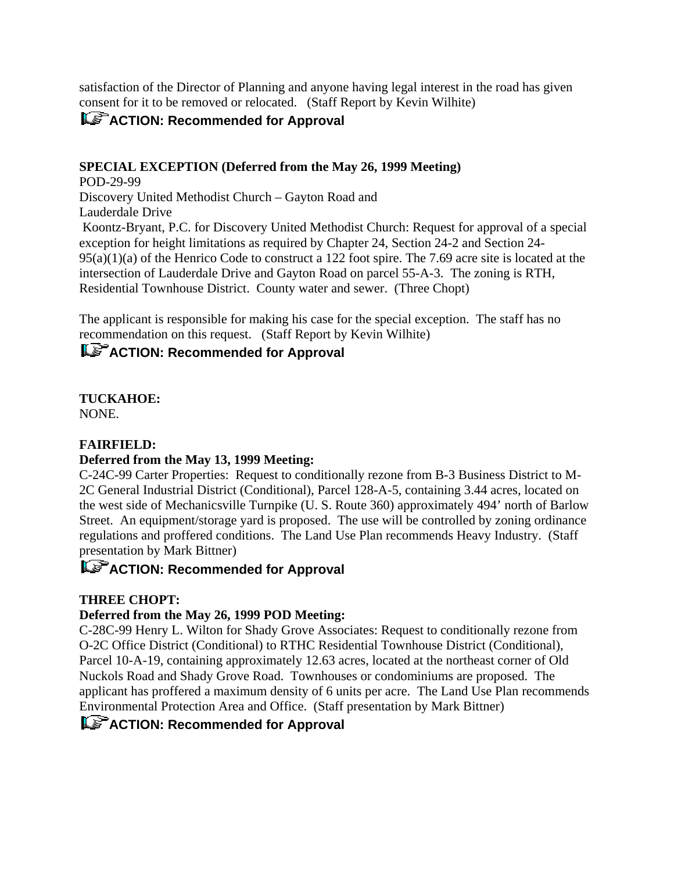satisfaction of the Director of Planning and anyone having legal interest in the road has given consent for it to be removed or relocated. (Staff Report by Kevin Wilhite)

## **ACTION: Recommended for Approval**

### **SPECIAL EXCEPTION (Deferred from the May 26, 1999 Meeting)**

POD-29-99 Discovery United Methodist Church – Gayton Road and Lauderdale Drive Koontz-Bryant, P.C. for Discovery United Methodist Church: Request for approval of a special exception for height limitations as required by Chapter 24, Section 24-2 and Section 24-  $95(a)(1)(a)$  of the Henrico Code to construct a 122 foot spire. The 7.69 acre site is located at the intersection of Lauderdale Drive and Gayton Road on parcel 55-A-3. The zoning is RTH, Residential Townhouse District. County water and sewer. (Three Chopt)

The applicant is responsible for making his case for the special exception. The staff has no recommendation on this request. (Staff Report by Kevin Wilhite)

## **ACTION: Recommended for Approval**

# **TUCKAHOE:**

NONE.

### **FAIRFIELD:**

### **Deferred from the May 13, 1999 Meeting:**

C-24C-99 Carter Properties: Request to conditionally rezone from B-3 Business District to M-2C General Industrial District (Conditional), Parcel 128-A-5, containing 3.44 acres, located on the west side of Mechanicsville Turnpike (U. S. Route 360) approximately 494' north of Barlow Street. An equipment/storage yard is proposed. The use will be controlled by zoning ordinance regulations and proffered conditions. The Land Use Plan recommends Heavy Industry. (Staff presentation by Mark Bittner)

## **ACTION: Recommended for Approval**

### **THREE CHOPT:**

### **Deferred from the May 26, 1999 POD Meeting:**

C-28C-99 Henry L. Wilton for Shady Grove Associates: Request to conditionally rezone from O-2C Office District (Conditional) to RTHC Residential Townhouse District (Conditional), Parcel 10-A-19, containing approximately 12.63 acres, located at the northeast corner of Old Nuckols Road and Shady Grove Road. Townhouses or condominiums are proposed. The applicant has proffered a maximum density of 6 units per acre. The Land Use Plan recommends Environmental Protection Area and Office. (Staff presentation by Mark Bittner)

### **ACTION: Recommended for Approval**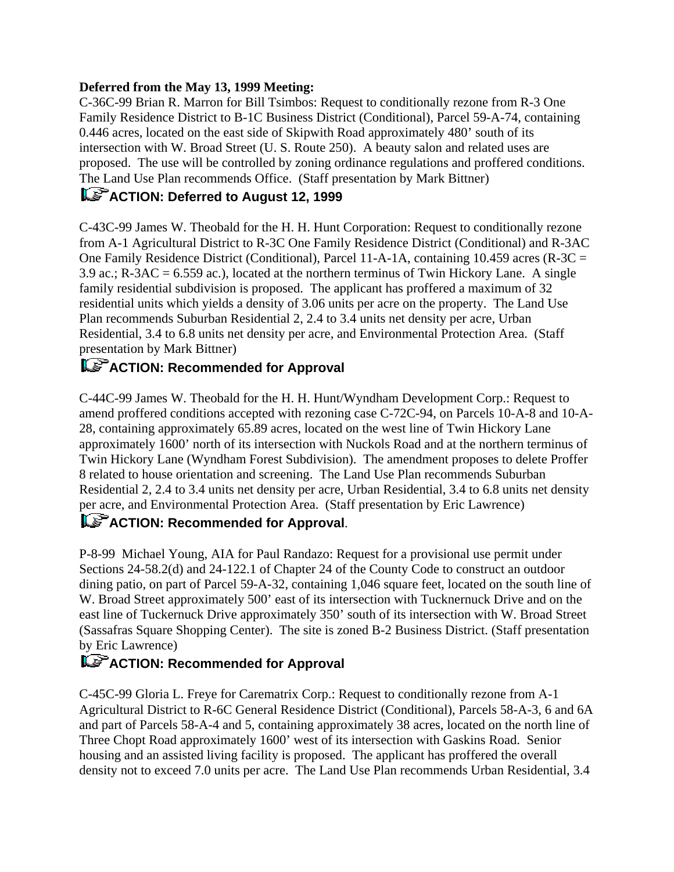### **Deferred from the May 13, 1999 Meeting:**

C-36C-99 Brian R. Marron for Bill Tsimbos: Request to conditionally rezone from R-3 One Family Residence District to B-1C Business District (Conditional), Parcel 59-A-74, containing 0.446 acres, located on the east side of Skipwith Road approximately 480' south of its intersection with W. Broad Street (U. S. Route 250). A beauty salon and related uses are proposed. The use will be controlled by zoning ordinance regulations and proffered conditions. The Land Use Plan recommends Office. (Staff presentation by Mark Bittner)

## **ACTION: Deferred to August 12, 1999**

C-43C-99 James W. Theobald for the H. H. Hunt Corporation: Request to conditionally rezone from A-1 Agricultural District to R-3C One Family Residence District (Conditional) and R-3AC One Family Residence District (Conditional), Parcel 11-A-1A, containing 10.459 acres (R-3C = 3.9 ac.; R-3AC = 6.559 ac.), located at the northern terminus of Twin Hickory Lane. A single family residential subdivision is proposed. The applicant has proffered a maximum of 32 residential units which yields a density of 3.06 units per acre on the property. The Land Use Plan recommends Suburban Residential 2, 2.4 to 3.4 units net density per acre, Urban Residential, 3.4 to 6.8 units net density per acre, and Environmental Protection Area. (Staff presentation by Mark Bittner)

## **ACTION: Recommended for Approval**

C-44C-99 James W. Theobald for the H. H. Hunt/Wyndham Development Corp.: Request to amend proffered conditions accepted with rezoning case C-72C-94, on Parcels 10-A-8 and 10-A-28, containing approximately 65.89 acres, located on the west line of Twin Hickory Lane approximately 1600' north of its intersection with Nuckols Road and at the northern terminus of Twin Hickory Lane (Wyndham Forest Subdivision). The amendment proposes to delete Proffer 8 related to house orientation and screening. The Land Use Plan recommends Suburban Residential 2, 2.4 to 3.4 units net density per acre, Urban Residential, 3.4 to 6.8 units net density per acre, and Environmental Protection Area. (Staff presentation by Eric Lawrence)

# **ACTION: Recommended for Approval.**

P-8-99 Michael Young, AIA for Paul Randazo: Request for a provisional use permit under Sections 24-58.2(d) and 24-122.1 of Chapter 24 of the County Code to construct an outdoor dining patio, on part of Parcel 59-A-32, containing 1,046 square feet, located on the south line of W. Broad Street approximately 500' east of its intersection with Tucknernuck Drive and on the east line of Tuckernuck Drive approximately 350' south of its intersection with W. Broad Street (Sassafras Square Shopping Center). The site is zoned B-2 Business District. (Staff presentation by Eric Lawrence)

# **ACTION: Recommended for Approval**

C-45C-99 Gloria L. Freye for Carematrix Corp.: Request to conditionally rezone from A-1 Agricultural District to R-6C General Residence District (Conditional), Parcels 58-A-3, 6 and 6A and part of Parcels 58-A-4 and 5, containing approximately 38 acres, located on the north line of Three Chopt Road approximately 1600' west of its intersection with Gaskins Road. Senior housing and an assisted living facility is proposed. The applicant has proffered the overall density not to exceed 7.0 units per acre. The Land Use Plan recommends Urban Residential, 3.4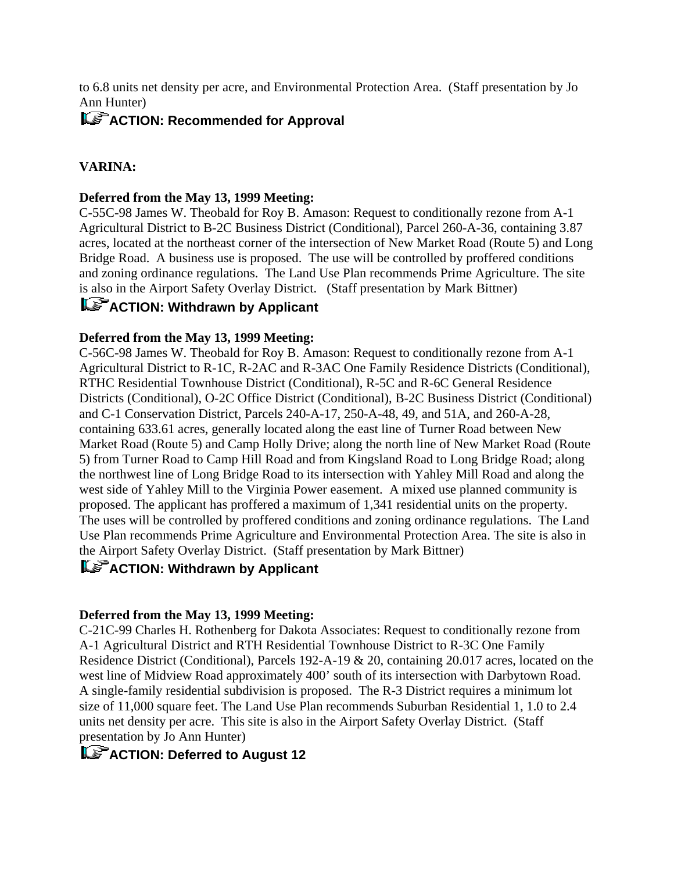to 6.8 units net density per acre, and Environmental Protection Area. (Staff presentation by Jo Ann Hunter)

## **ACTION: Recommended for Approval**

### **VARINA:**

#### **Deferred from the May 13, 1999 Meeting:**

C-55C-98 James W. Theobald for Roy B. Amason: Request to conditionally rezone from A-1 Agricultural District to B-2C Business District (Conditional), Parcel 260-A-36, containing 3.87 acres, located at the northeast corner of the intersection of New Market Road (Route 5) and Long Bridge Road. A business use is proposed. The use will be controlled by proffered conditions and zoning ordinance regulations. The Land Use Plan recommends Prime Agriculture. The site is also in the Airport Safety Overlay District. (Staff presentation by Mark Bittner)

## **ACTION: Withdrawn by Applicant**

### **Deferred from the May 13, 1999 Meeting:**

C-56C-98 James W. Theobald for Roy B. Amason: Request to conditionally rezone from A-1 Agricultural District to R-1C, R-2AC and R-3AC One Family Residence Districts (Conditional), RTHC Residential Townhouse District (Conditional), R-5C and R-6C General Residence Districts (Conditional), O-2C Office District (Conditional), B-2C Business District (Conditional) and C-1 Conservation District, Parcels 240-A-17, 250-A-48, 49, and 51A, and 260-A-28, containing 633.61 acres, generally located along the east line of Turner Road between New Market Road (Route 5) and Camp Holly Drive; along the north line of New Market Road (Route 5) from Turner Road to Camp Hill Road and from Kingsland Road to Long Bridge Road; along the northwest line of Long Bridge Road to its intersection with Yahley Mill Road and along the west side of Yahley Mill to the Virginia Power easement. A mixed use planned community is proposed. The applicant has proffered a maximum of 1,341 residential units on the property. The uses will be controlled by proffered conditions and zoning ordinance regulations. The Land Use Plan recommends Prime Agriculture and Environmental Protection Area. The site is also in the Airport Safety Overlay District. (Staff presentation by Mark Bittner)

## **ACTION: Withdrawn by Applicant**

### **Deferred from the May 13, 1999 Meeting:**

C-21C-99 Charles H. Rothenberg for Dakota Associates: Request to conditionally rezone from A-1 Agricultural District and RTH Residential Townhouse District to R-3C One Family Residence District (Conditional), Parcels 192-A-19 & 20, containing 20.017 acres, located on the west line of Midview Road approximately 400' south of its intersection with Darbytown Road. A single-family residential subdivision is proposed. The R-3 District requires a minimum lot size of 11,000 square feet. The Land Use Plan recommends Suburban Residential 1, 1.0 to 2.4 units net density per acre. This site is also in the Airport Safety Overlay District. (Staff presentation by Jo Ann Hunter)

## **ACTION: Deferred to August 12**